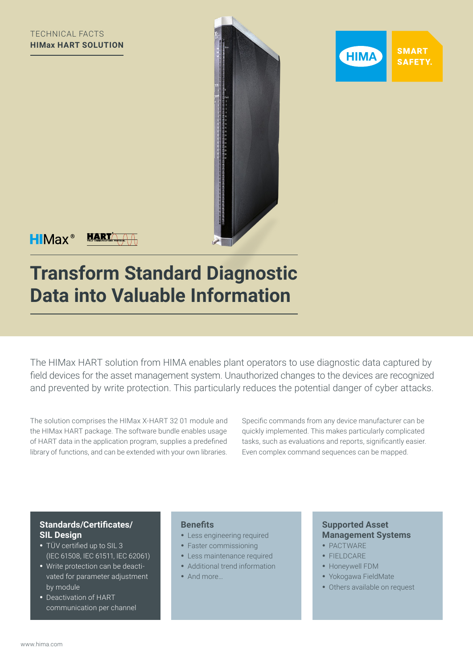



 $HIMax^*$ 

**HART** 

# **Transform Standard Diagnostic Data into Valuable Information**

The HIMax HART solution from HIMA enables plant operators to use diagnostic data captured by field devices for the asset management system. Unauthorized changes to the devices are recognized and prevented by write protection. This particularly reduces the potential danger of cyber attacks.

The solution comprises the HIMax X-HART 32 01 module and the HIMax HART package. The software bundle enables usage of HART data in the application program, supplies a predefined library of functions, and can be extended with your own libraries. Specific commands from any device manufacturer can be quickly implemented. This makes particularly complicated tasks, such as evaluations and reports, significantly easier. Even complex command sequences can be mapped.

## **Standards/Certificates/ SIL Design**

- TÜV certified up to SIL 3 (IEC 61508, IEC 61511, IEC 62061)
- Write protection can be deactivated for parameter adjustment by module
- Deactivation of HART communication per channel

### **Benefits**

- Less engineering required
- Faster commissioning
- Less maintenance required
- Additional trend information
- And more…

## **Supported Asset Management Systems**

- PACTWARE
- FIELDCARE
- Honeywell FDM
- Yokogawa FieldMate
- Others available on request